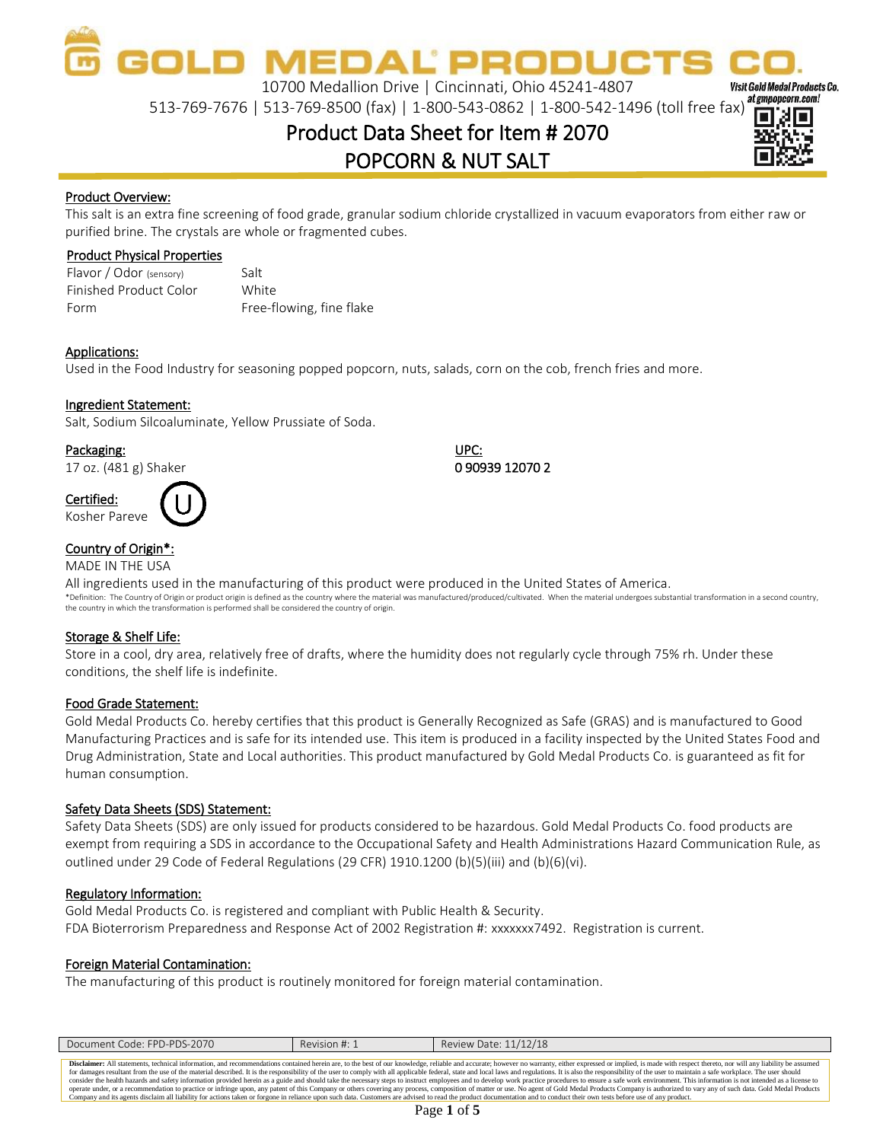OLD MEDAL PRODUC

10700 Medallion Drive | Cincinnati, Ohio 45241-4807

513-769-7676 | 513-769-8500 (fax) | 1-800-543-0862 | 1-800-542-1496 (toll free fax)

### Product Data Sheet for Item # 2070 POPCORN & NUT SALT



**Visit Gold Medal Products Co.** 

#### Product Overview:

This salt is an extra fine screening of food grade, granular sodium chloride crystallized in vacuum evaporators from either raw or purified brine. The crystals are whole or fragmented cubes.

#### Product Physical Properties

Flavor / Odor (sensory) Finished Product Color Form Salt **White** Free-flowing, fine flake

#### Applications:

Used in the Food Industry for seasoning popped popcorn, nuts, salads, corn on the cob, french fries and more.

#### Ingredient Statement:

Salt, Sodium Silcoaluminate, Yellow Prussiate of Soda.

#### Packaging: UPC:

17 oz. (481 g) Shaker 0 90939 12070 2

Certified:



#### Country of Origin\*:

MADE IN THE USA

All ingredients used in the manufacturing of this product were produced in the United States of America. \*Definition: The Country of Origin or product origin is defined as the country where the material was manufactured/produced/cultivated. When the material undergoes substantial transformation in a second country, the country in which the transformation is performed shall be considered the country of origin.

#### Storage & Shelf Life:

Store in a cool, dry area, relatively free of drafts, where the humidity does not regularly cycle through 75% rh. Under these conditions, the shelf life is indefinite.

#### Food Grade Statement:

Gold Medal Products Co. hereby certifies that this product is Generally Recognized as Safe (GRAS) and is manufactured to Good Manufacturing Practices and is safe for its intended use. This item is produced in a facility inspected by the United States Food and Drug Administration, State and Local authorities. This product manufactured by Gold Medal Products Co. is guaranteed as fit for human consumption.

#### Safety Data Sheets (SDS) Statement:

Safety Data Sheets (SDS) are only issued for products considered to be hazardous. Gold Medal Products Co. food products are exempt from requiring a SDS in accordance to the Occupational Safety and Health Administrations Hazard Communication Rule, as outlined under 29 Code of Federal Regulations (29 CFR) 1910.1200 (b)(5)(iii) and (b)(6)(vi).

#### Regulatory Information:

Gold Medal Products Co. is registered and compliant with Public Health & Security. FDA Bioterrorism Preparedness and Response Act of 2002 Registration #: xxxxxxx7492. Registration is current.

#### Foreign Material Contamination:

The manufacturing of this product is routinely monitored for foreign material contamination.

| Document Code: FPD-PDS-2070                                                                                                                                                                                                    | Revision #: 1 | Review Date: 11/12/18                                                                                                                                                                                                          |  |  |
|--------------------------------------------------------------------------------------------------------------------------------------------------------------------------------------------------------------------------------|---------------|--------------------------------------------------------------------------------------------------------------------------------------------------------------------------------------------------------------------------------|--|--|
|                                                                                                                                                                                                                                |               |                                                                                                                                                                                                                                |  |  |
| Disclaimer: All statements, technical information, and recommendations contained herein are, to the best of our knowledge, reliable and accurate; however no warranty, either expressed or implied, is made with respect there |               |                                                                                                                                                                                                                                |  |  |
| for damages resultant from the use of the material described. It is the responsibility of the user to comply with all applicable federal, state and local laws and regulations. It is also the responsibility of the user to m |               |                                                                                                                                                                                                                                |  |  |
| consider the health hazards and safety information provided herein as a guide and should take the necessary steps to instruct employees and to develop work practice procedures to ensure a safe work environment. This inform |               |                                                                                                                                                                                                                                |  |  |
|                                                                                                                                                                                                                                |               | operate under, or a recommendation to practice or infringe upon, any patent of this Company or others covering any process, composition of matter or use. No agent of Gold Medal Products Company is authorized to vary any of |  |  |
|                                                                                                                                                                                                                                |               | Company and its agents disclaim all liability for actions taken or forgone in reliance upon such data. Customers are advised to read the product documentation and to conduct their own tests before use of any product.       |  |  |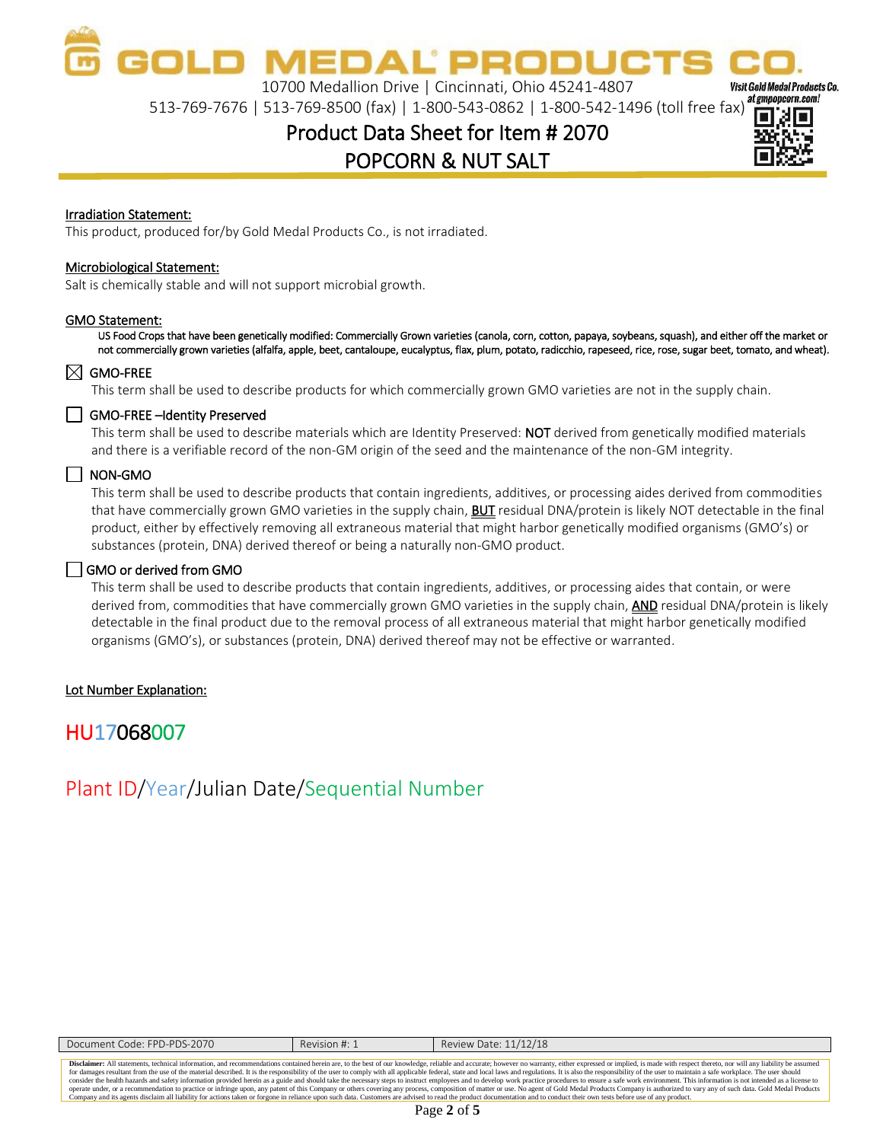**MEDAL PRODL** 10700 Medallion Drive | Cincinnati, Ohio 45241-4807

513-769-7676 | 513-769-8500 (fax) | 1-800-543-0862 | 1-800-542-1496 (toll free fax)

## Product Data Sheet for Item # 2070 POPCORN & NUT SALT



**Visit Gold Medal Products Co.** 

#### Irradiation Statement:

This product, produced for/by Gold Medal Products Co., is not irradiated.

#### Microbiological Statement:

Salt is chemically stable and will not support microbial growth.

#### GMO Statement:

US Food Crops that have been genetically modified: Commercially Grown varieties (canola, corn, cotton, papaya, soybeans, squash), and either off the market or not commercially grown varieties (alfalfa, apple, beet, cantaloupe, eucalyptus, flax, plum, potato, radicchio, rapeseed, rice, rose, sugar beet, tomato, and wheat).

#### $\boxtimes$  GMO-FREE

This term shall be used to describe products for which commercially grown GMO varieties are not in the supply chain.

#### GMO-FREE-Identity Preserved

This term shall be used to describe materials which are Identity Preserved: NOT derived from genetically modified materials and there is a verifiable record of the non-GM origin of the seed and the maintenance of the non-GM integrity.

#### $\Box$  NON-GMO

This term shall be used to describe products that contain ingredients, additives, or processing aides derived from commodities that have commercially grown GMO varieties in the supply chain, **BUT** residual DNA/protein is likely NOT detectable in the final product, either by effectively removing all extraneous material that might harbor genetically modified organisms (GMO's) or substances (protein, DNA) derived thereof or being a naturally non-GMO product.

#### GMO or derived from GMO

This term shall be used to describe products that contain ingredients, additives, or processing aides that contain, or were derived from, commodities that have commercially grown GMO varieties in the supply chain, AND residual DNA/protein is likely detectable in the final product due to the removal process of all extraneous material that might harbor genetically modified organisms (GMO's), or substances (protein, DNA) derived thereof may not be effective or warranted.

#### Lot Number Explanation:

### HU17068007

### Plant ID/Year/Julian Date/Sequential Number

| Document Code: FPD-PDS-2070                                                                                                                                                                                                    | Revision #: 1 | Review Date: 11/12/18                                                                                                                                                                                                          |  |  |
|--------------------------------------------------------------------------------------------------------------------------------------------------------------------------------------------------------------------------------|---------------|--------------------------------------------------------------------------------------------------------------------------------------------------------------------------------------------------------------------------------|--|--|
|                                                                                                                                                                                                                                |               |                                                                                                                                                                                                                                |  |  |
|                                                                                                                                                                                                                                |               | Disclaimer: All statements, technical information, and recommendations contained herein are, to the best of our knowledge, reliable and accurate; however no warranty, either expressed or implied, is made with respect there |  |  |
|                                                                                                                                                                                                                                |               | for damages resultant from the use of the material described. It is the responsibility of the user to comply with all applicable federal, state and local laws and regulations. It is also the responsibility of the user to m |  |  |
| consider the health hazards and safety information provided herein as a guide and should take the necessary steps to instruct employees and to develop work practice procedures to ensure a safe work environment. This inform |               |                                                                                                                                                                                                                                |  |  |
|                                                                                                                                                                                                                                |               | operate under, or a recommendation to practice or infringe upon, any patent of this Company or others covering any process, composition of matter or use. No agent of Gold Medal Products Company is authorized to vary any of |  |  |
|                                                                                                                                                                                                                                |               | Company and its agents disclaim all liability for actions taken or forgone in reliance upon such data. Customers are advised to read the product documentation and to conduct their own tests before use of any product.       |  |  |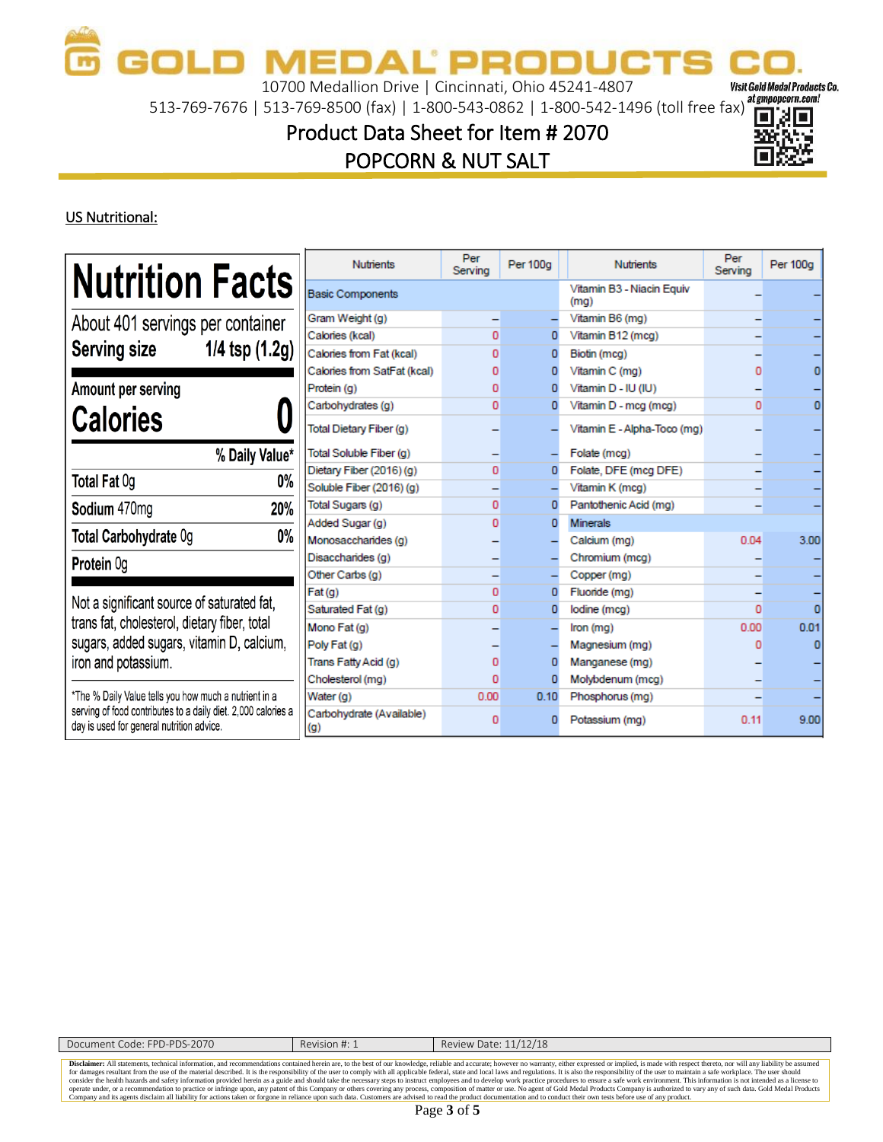10700 Medallion Drive | Cincinnati, Ohio 45241-4807

513-769-7676 | 513-769-8500 (fax) | 1-800-543-0862 | 1-800-542-1496 (toll free fax)

## Product Data Sheet for Item # 2070 POPCORN & NUT SALT



Visit Gold Medal Products Co.

### US Nutritional:

|                                                                                                            | <b>Nutrients</b>                  | Per<br>Serving | Per 100g | <b>Nutrients</b>                  | Per<br>Serving | Per 100g |
|------------------------------------------------------------------------------------------------------------|-----------------------------------|----------------|----------|-----------------------------------|----------------|----------|
| <b>Nutrition Facts</b><br><b>Basic Components</b>                                                          |                                   |                |          | Vitamin B3 - Niacin Equiv<br>(mq) |                |          |
| About 401 servings per container                                                                           | Gram Weight (g)                   |                |          | Vitamin B6 (mg)                   |                |          |
|                                                                                                            | Calories (kcal)                   | $\mathbf{0}$   | 0        | Vitamin B12 (mcg)                 |                |          |
| <b>Serving size</b><br>$1/4$ tsp $(1.2g)$                                                                  | Calories from Fat (kcal)          | $\Omega$       |          | Biotin (mcg)                      |                |          |
|                                                                                                            | Calories from SatFat (kcal)       | $\Omega$       |          | Vitamin C (mg)                    |                |          |
| Amount per serving                                                                                         | Protein (g)                       | 0              |          | Vitamin D - IU (IU)               |                |          |
|                                                                                                            | Carbohydrates (q)                 | $\mathbf{0}$   |          | Vitamin D - mcg (mcg)             | o              |          |
| <b>Calories</b>                                                                                            | Total Dietary Fiber (q)           |                |          | Vitamin E - Alpha-Toco (mq)       |                |          |
| % Daily Value*                                                                                             | Total Soluble Fiber (q)           |                |          | Folate (mcg)                      |                |          |
| Total Fat 0g                                                                                               | Dietary Fiber (2016) (q)<br>$0\%$ | $\mathbf{0}$   |          | Folate, DFE (mcg DFE)             |                |          |
|                                                                                                            | Soluble Fiber (2016) (g)          |                |          | Vitamin K (mcg)                   |                |          |
| Sodium 470mg                                                                                               | Total Sugars (g)<br>20%           | $\mathbf{0}$   |          | Pantothenic Acid (mg)             |                |          |
|                                                                                                            | Added Sugar (g)                   | $\Omega$       | n        | <b>Minerals</b>                   |                |          |
| Total Carbohydrate Og                                                                                      | $0\%$<br>Monosaccharides (g)      |                |          | Calcium (mg)                      | 0.04           | 3.00     |
| <b>Protein Og</b>                                                                                          | Disaccharides (q)                 |                |          | Chromium (mcg)                    |                |          |
|                                                                                                            | Other Carbs (g)                   |                |          | Copper (mg)                       |                |          |
| Not a significant source of saturated fat,                                                                 | Fat(q)                            | 0              |          | Fluoride (mg)                     |                |          |
|                                                                                                            | Saturated Fat (q)                 | $\mathbf{0}$   | 0        | lodine (mcg)                      | Ō              |          |
| trans fat, cholesterol, dietary fiber, total                                                               | Mono Fat (q)                      |                |          | Iron (mg)                         | 0.00           | 0.01     |
| sugars, added sugars, vitamin D, calcium,                                                                  | Poly Fat (q)                      |                |          | Magnesium (mg)                    |                |          |
| iron and potassium.                                                                                        | Trans Fatty Acid (g)              | $\mathbf{0}$   |          | Manganese (mg)                    |                |          |
|                                                                                                            | Cholesterol (mg)                  | O              |          | Molybdenum (mcg)                  |                |          |
| *The % Daily Value tells you how much a nutrient in a                                                      | Water (g)                         | 0.00           | 0.10     | Phosphorus (mg)                   |                |          |
| serving of food contributes to a daily diet. 2,000 calories a<br>day is used for general nutrition advice. | Carbohydrate (Available)<br>(q)   | 0              |          | Potassium (mg)                    | 0.11           | 9.00     |

| Document Code: FPD-PDS-2070 | Revision #: 1 | Review Date: 11/12/18                                                                                                                                                                                                          |
|-----------------------------|---------------|--------------------------------------------------------------------------------------------------------------------------------------------------------------------------------------------------------------------------------|
|                             |               |                                                                                                                                                                                                                                |
|                             |               | Disclaimer: All statements, technical information, and recommendations contained herein are, to the best of our knowledge, reliable and accurate; however no warranty, either expressed or implied, is made with respect there |
|                             |               | for damages resultant from the use of the material described. It is the responsibility of the user to comply with all applicable federal, state and local laws and regulations. It is also the responsibility of the user to m |
|                             |               | consider the health hazards and safety information provided herein as a guide and should take the necessary steps to instruct employees and to develop work practice procedures to ensure a safe work environment. This inform |
|                             |               | operate under, or a recommendation to practice or infringe upon, any patent of this Company or others covering any process, composition of matter or use. No agent of Gold Medal Products Company is authorized to vary any of |
|                             |               | Company and its agents disclaim all liability for actions taken or forgone in reliance upon such data. Customers are advised to read the product documentation and to conduct their own tests before use of any product.       |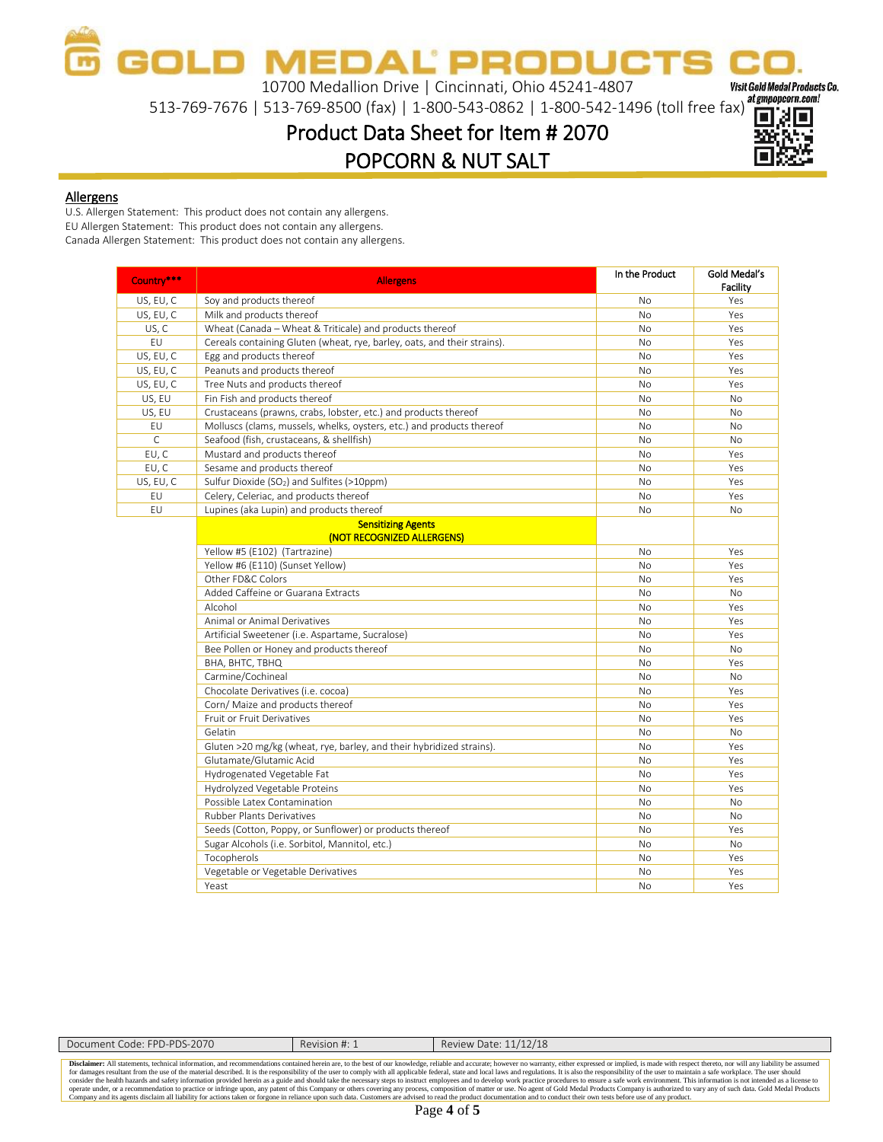**OLD MEDAL PRODUC** 

10700 Medallion Drive | Cincinnati, Ohio 45241-4807

13-769-7676 | 513-769-8500 (fax) | 1-800-543-0862 | 1-800-542-1496 (toll free fax)

Product Data Sheet for Item # 2070 POPCORN & NUT SALT



Visit Gold Medal Products Co.

#### Allergens

U.S. Allergen Statement: This product does not contain any allergens. EU Allergen Statement: This product does not contain any allergens. Canada Allergen Statement: This product does not contain any allergens.

| Country***   | <b>Allergens</b>                                                         | In the Product | Gold Medal's<br><b>Facility</b> |
|--------------|--------------------------------------------------------------------------|----------------|---------------------------------|
| US, EU, C    | Soy and products thereof                                                 | <b>No</b>      | Yes                             |
| US, EU, C    | Milk and products thereof                                                | N <sub>o</sub> | Yes                             |
| US, C        | Wheat (Canada - Wheat & Triticale) and products thereof                  | <b>No</b>      | Yes                             |
| EU           | Cereals containing Gluten (wheat, rye, barley, oats, and their strains). | <b>No</b>      | Yes                             |
| US, EU, C    | Egg and products thereof                                                 | N <sub>o</sub> | Yes                             |
| US, EU, C    | Peanuts and products thereof                                             | <b>No</b>      | Yes                             |
| US, EU, C    | Tree Nuts and products thereof                                           | <b>No</b>      | Yes                             |
| US, EU       | Fin Fish and products thereof                                            | <b>No</b>      | <b>No</b>                       |
| US, EU       | Crustaceans (prawns, crabs, lobster, etc.) and products thereof          | <b>No</b>      | <b>No</b>                       |
| EU           | Molluscs (clams, mussels, whelks, oysters, etc.) and products thereof    | <b>No</b>      | <b>No</b>                       |
| $\mathsf{C}$ | Seafood (fish, crustaceans, & shellfish)                                 | No.            | N <sub>o</sub>                  |
| EU, C        | Mustard and products thereof                                             | <b>No</b>      | Yes                             |
| EU, C        | Sesame and products thereof                                              | <b>No</b>      | Yes                             |
| US, EU, C    | Sulfur Dioxide (SO <sub>2</sub> ) and Sulfites (>10ppm)                  | N <sub>o</sub> | Yes                             |
| EU           | Celery, Celeriac, and products thereof                                   | No             | Yes                             |
| EU           | Lupines (aka Lupin) and products thereof                                 | <b>No</b>      | <b>No</b>                       |
|              | <b>Sensitizing Agents</b>                                                |                |                                 |
|              | (NOT RECOGNIZED ALLERGENS)                                               |                |                                 |
|              | Yellow #5 (E102) (Tartrazine)                                            | <b>No</b>      | Yes                             |
|              | Yellow #6 (E110) (Sunset Yellow)                                         | <b>No</b>      | Yes                             |
|              | Other FD&C Colors                                                        | <b>No</b>      | Yes                             |
|              | Added Caffeine or Guarana Extracts                                       | <b>No</b>      | <b>No</b>                       |
|              | Alcohol                                                                  | N <sub>o</sub> | Yes                             |
|              | Animal or Animal Derivatives                                             | No             | Yes                             |
|              | Artificial Sweetener (i.e. Aspartame, Sucralose)                         | <b>No</b>      | Yes                             |
|              | Bee Pollen or Honey and products thereof                                 | <b>No</b>      | <b>No</b>                       |
|              | BHA, BHTC, TBHQ                                                          | <b>No</b>      | Yes                             |
|              | Carmine/Cochineal                                                        | <b>No</b>      | <b>No</b>                       |
|              | Chocolate Derivatives (i.e. cocoa)                                       | <b>No</b>      | Yes                             |
|              | Corn/ Maize and products thereof                                         | <b>No</b>      | Yes                             |
|              | Fruit or Fruit Derivatives                                               | <b>No</b>      | Yes                             |
|              | Gelatin                                                                  | <b>No</b>      | <b>No</b>                       |
|              | Gluten >20 mg/kg (wheat, rye, barley, and their hybridized strains).     | No             | Yes                             |
|              | Glutamate/Glutamic Acid                                                  | <b>No</b>      | Yes                             |
|              | Hydrogenated Vegetable Fat                                               | <b>No</b>      | Yes                             |
|              | Hydrolyzed Vegetable Proteins                                            | <b>No</b>      | Yes                             |
|              | Possible Latex Contamination                                             | <b>No</b>      | <b>No</b>                       |
|              | <b>Rubber Plants Derivatives</b>                                         | <b>No</b>      | <b>No</b>                       |
|              | Seeds (Cotton, Poppy, or Sunflower) or products thereof                  | <b>No</b>      | Yes                             |
|              | Sugar Alcohols (i.e. Sorbitol, Mannitol, etc.)                           | <b>No</b>      | <b>No</b>                       |
|              | Tocopherols                                                              | <b>No</b>      | Yes                             |
|              | Vegetable or Vegetable Derivatives                                       | No             | Yes                             |
|              | Yeast                                                                    | <b>No</b>      | Yes                             |

| Document Code: FPD-PDS-2070 | Revision #: 1 | Review Date: 11/12/18                                                                                                                                                                                                          |
|-----------------------------|---------------|--------------------------------------------------------------------------------------------------------------------------------------------------------------------------------------------------------------------------------|
|                             |               |                                                                                                                                                                                                                                |
|                             |               | Disclaimer: All statements, technical information, and recommendations contained herein are, to the best of our knowledge, reliable and accurate; however no warranty, either expressed or implied, is made with respect there |
|                             |               | for damages resultant from the use of the material described. It is the responsibility of the user to comply with all applicable federal, state and local laws and regulations. It is also the responsibility of the user to m |
|                             |               | consider the health hazards and safety information provided herein as a guide and should take the necessary steps to instruct employees and to develop work practice procedures to ensure a safe work environment. This inform |
|                             |               | operate under, or a recommendation to practice or infringe upon, any patent of this Company or others covering any process, composition of matter or use. No agent of Gold Medal Products Company is authorized to vary any of |
|                             |               | Company and its agents disclaim all liability for actions taken or forgone in reliance upon such data. Customers are advised to read the product documentation and to conduct their own tests before use of any product.       |